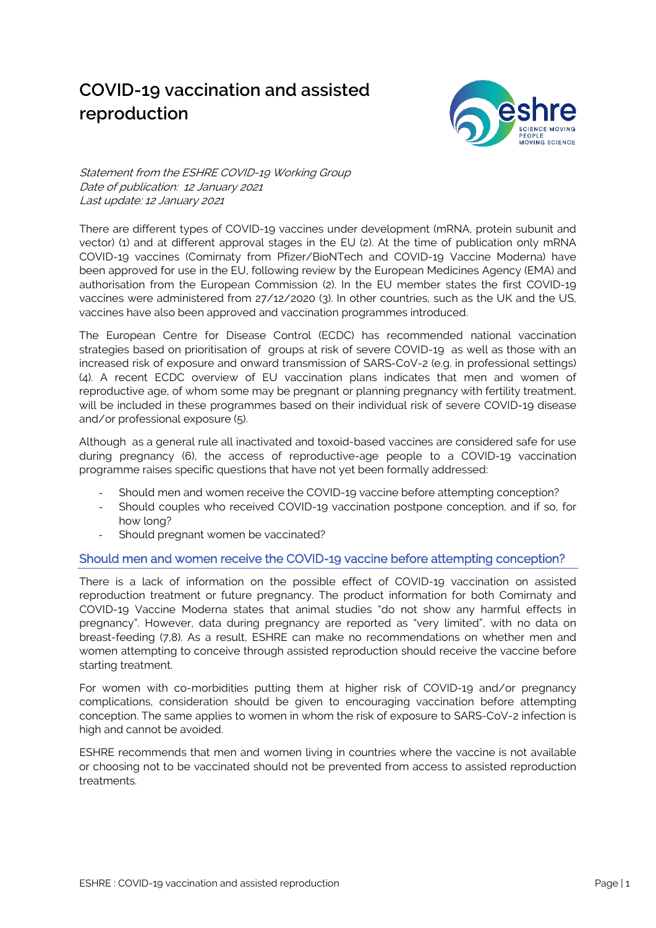# **COVID-19 vaccination and assisted reproduction**



Statement from the ESHRE COVID-19 Working Group Date of publication: 12 January 2021 Last update: 12 January 2021

There are different types of COVID-19 vaccines under development (mRNA, protein subunit and vector) (1) and at different approval stages in the EU (2). At the time of publication only mRNA COVID-19 vaccines (Comirnaty from Pfizer/BioNTech and COVID-19 Vaccine Moderna) have been approved for use in the EU, following review by the European Medicines Agency (EMA) and authorisation from the European Commission (2). In the EU member states the first COVID-19 vaccines were administered from 27/12/2020 (3). In other countries, such as the UK and the US, vaccines have also been approved and vaccination programmes introduced.

The European Centre for Disease Control (ECDC) has recommended national vaccination strategies based on prioritisation of groups at risk of severe COVID-19 as well as those with an increased risk of exposure and onward transmission of SARS-CoV-2 (e.g. in professional settings) (4). A recent ECDC overview of EU vaccination plans indicates that men and women of reproductive age, of whom some may be pregnant or planning pregnancy with fertility treatment, will be included in these programmes based on their individual risk of severe COVID-19 disease and/or professional exposure (5).

Although as a general rule all inactivated and toxoid-based vaccines are considered safe for use during pregnancy (6), the access of reproductive-age people to a COVID-19 vaccination programme raises specific questions that have not yet been formally addressed:

- Should men and women receive the COVID-19 vaccine before attempting conception?
- Should couples who received COVID-19 vaccination postpone conception, and if so, for how long?
- Should pregnant women be vaccinated?

#### Should men and women receive the COVID-19 vaccine before attempting conception?

There is a lack of information on the possible effect of COVID-19 vaccination on assisted reproduction treatment or future pregnancy. The product information for both Comirnaty and COVID-19 Vaccine Moderna states that animal studies "do not show any harmful effects in pregnancy". However, data during pregnancy are reported as "very limited", with no data on breast-feeding (7,8). As a result, ESHRE can make no recommendations on whether men and women attempting to conceive through assisted reproduction should receive the vaccine before starting treatment.

For women with co-morbidities putting them at higher risk of COVID-19 and/or pregnancy complications, consideration should be given to encouraging vaccination before attempting conception. The same applies to women in whom the risk of exposure to SARS-CoV-2 infection is high and cannot be avoided.

ESHRE recommends that men and women living in countries where the vaccine is not available or choosing not to be vaccinated should not be prevented from access to assisted reproduction treatments.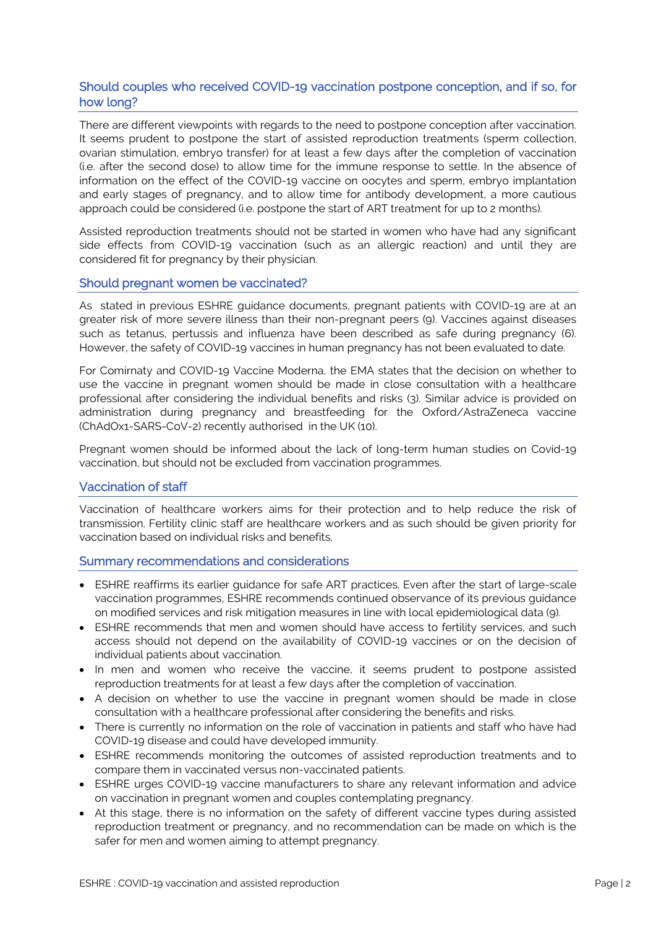# Should couples who received COVID-19 vaccination postpone conception, and if so, for how long?

There are different viewpoints with regards to the need to postpone conception after vaccination. It seems prudent to postpone the start of assisted reproduction treatments (sperm collection, ovarian stimulation, embryo transfer) for at least a few days after the completion of vaccination (i.e. after the second dose) to allow time for the immune response to settle. In the absence of information on the effect of the COVID-19 vaccine on oocytes and sperm, embryo implantation and early stages of pregnancy, and to allow time for antibody development, a more cautious approach could be considered (i.e. postpone the start of ART treatment for up to 2 months).

Assisted reproduction treatments should not be started in women who have had any significant side effects from COVID-19 vaccination (such as an allergic reaction) and until they are considered fit for pregnancy by their physician.

### Should pregnant women be vaccinated?

As stated in previous ESHRE guidance documents, pregnant patients with COVID-19 are at an greater risk of more severe illness than their non-pregnant peers (9). Vaccines against diseases such as tetanus, pertussis and influenza have been described as safe during pregnancy (6). However, the safety of COVID-19 vaccines in human pregnancy has not been evaluated to date.

For Comirnaty and COVID-19 Vaccine Moderna, the EMA states that the decision on whether to use the vaccine in pregnant women should be made in close consultation with a healthcare professional after considering the individual benefits and risks (3). Similar advice is provided on administration during pregnancy and breastfeeding for the Oxford/AstraZeneca vaccine (ChAdOx1-SARS-CoV-2) recently authorised in the UK (10).

Pregnant women should be informed about the lack of long-term human studies on Covid-19 vaccination, but should not be excluded from vaccination programmes.

#### Vaccination of staff

Vaccination of healthcare workers aims for their protection and to help reduce the risk of transmission. Fertility clinic staff are healthcare workers and as such should be given priority for vaccination based on individual risks and benefits.

#### Summary recommendations and considerations

- ESHRE reaffirms its earlier guidance for safe ART practices. Even after the start of large-scale vaccination programmes, ESHRE recommends continued observance of its previous guidance on modified services and risk mitigation measures in line with local epidemiological data (9).
- ESHRE recommends that men and women should have access to fertility services, and such access should not depend on the availability of COVID-19 vaccines or on the decision of individual patients about vaccination.
- In men and women who receive the vaccine, it seems prudent to postpone assisted reproduction treatments for at least a few days after the completion of vaccination.
- A decision on whether to use the vaccine in pregnant women should be made in close consultation with a healthcare professional after considering the benefits and risks.
- There is currently no information on the role of vaccination in patients and staff who have had COVID-19 disease and could have developed immunity.
- ESHRE recommends monitoring the outcomes of assisted reproduction treatments and to compare them in vaccinated versus non-vaccinated patients.
- ESHRE urges COVID-19 vaccine manufacturers to share any relevant information and advice on vaccination in pregnant women and couples contemplating pregnancy.
- At this stage, there is no information on the safety of different vaccine types during assisted reproduction treatment or pregnancy, and no recommendation can be made on which is the safer for men and women aiming to attempt pregnancy.